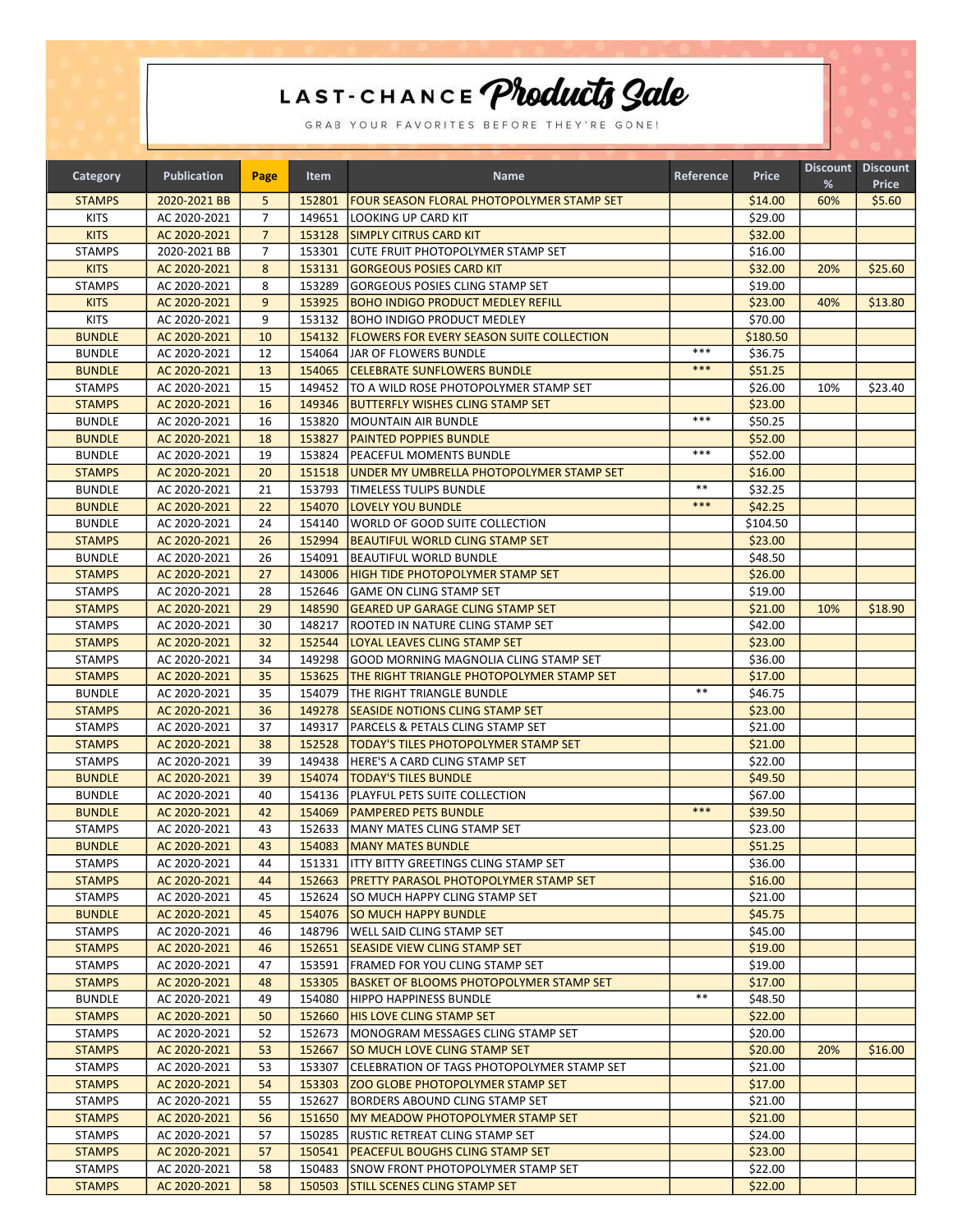## LAST-CHANCE Products Sale

GRAB YOUR FAVORITES BEFORE THEY'RE GONE!

| Category      | <b>Publication</b> | Page           | Item   | <b>Name</b>                                       | Reference | <b>Price</b>       | %   | Discount Discount<br><b>Price</b> |
|---------------|--------------------|----------------|--------|---------------------------------------------------|-----------|--------------------|-----|-----------------------------------|
| <b>STAMPS</b> | 2020-2021 BB       | 5              | 152801 | FOUR SEASON FLORAL PHOTOPOLYMER STAMP SET         |           | \$14.00            | 60% | \$5.60                            |
| <b>KITS</b>   | AC 2020-2021       | $\overline{7}$ | 149651 | LOOKING UP CARD KIT                               |           | \$29.00            |     |                                   |
| <b>KITS</b>   | AC 2020-2021       | $\overline{7}$ | 153128 | <b>SIMPLY CITRUS CARD KIT</b>                     |           | \$32.00            |     |                                   |
| <b>STAMPS</b> | 2020-2021 BB       | $\overline{7}$ | 153301 | ICUTE FRUIT PHOTOPOLYMER STAMP SET                |           | \$16.00            |     |                                   |
| <b>KITS</b>   | AC 2020-2021       | 8              | 153131 | <b>GORGEOUS POSIES CARD KIT</b>                   |           | \$32.00            | 20% | \$25.60                           |
| <b>STAMPS</b> | AC 2020-2021       | 8              | 153289 | <b>GORGEOUS POSIES CLING STAMP SET</b>            |           | \$19.00            |     |                                   |
| <b>KITS</b>   | AC 2020-2021       | 9              | 153925 | <b>BOHO INDIGO PRODUCT MEDLEY REFILL</b>          |           | \$23.00            | 40% | \$13.80                           |
| <b>KITS</b>   | AC 2020-2021       | 9              | 153132 | <b>BOHO INDIGO PRODUCT MEDLEY</b>                 |           | \$70.00            |     |                                   |
| <b>BUNDLE</b> | AC 2020-2021       | 10             | 154132 | <b>FLOWERS FOR EVERY SEASON SUITE COLLECTION</b>  |           | \$180.50           |     |                                   |
| <b>BUNDLE</b> | AC 2020-2021       | 12             | 154064 | JAR OF FLOWERS BUNDLE                             | $***$     | \$36.75            |     |                                   |
| <b>BUNDLE</b> | AC 2020-2021       | 13             | 154065 | <b>CELEBRATE SUNFLOWERS BUNDLE</b>                | ***       | \$51.25            |     |                                   |
| <b>STAMPS</b> | AC 2020-2021       | 15             | 149452 | TO A WILD ROSE PHOTOPOLYMER STAMP SET             |           | \$26.00            | 10% | \$23.40                           |
| <b>STAMPS</b> | AC 2020-2021       | 16             | 149346 | <b>BUTTERFLY WISHES CLING STAMP SET</b>           |           | \$23.00            |     |                                   |
| <b>BUNDLE</b> | AC 2020-2021       | 16             | 153820 | MOUNTAIN AIR BUNDLE                               | ***       |                    |     |                                   |
|               |                    |                |        |                                                   |           | \$50.25<br>\$52.00 |     |                                   |
| <b>BUNDLE</b> | AC 2020-2021       | 18             | 153827 | <b>PAINTED POPPIES BUNDLE</b>                     | $***$     |                    |     |                                   |
| <b>BUNDLE</b> | AC 2020-2021       | 19             | 153824 | PEACEFUL MOMENTS BUNDLE                           |           | \$52.00            |     |                                   |
| <b>STAMPS</b> | AC 2020-2021       | 20             | 151518 | <b>UNDER MY UMBRELLA PHOTOPOLYMER STAMP SET</b>   | $***$     | \$16.00            |     |                                   |
| <b>BUNDLE</b> | AC 2020-2021       | 21             | 153793 | <b>ITIMELESS TULIPS BUNDLE</b>                    | ***       | \$32.25            |     |                                   |
| <b>BUNDLE</b> | AC 2020-2021       | 22             | 154070 | <b>LOVELY YOU BUNDLE</b>                          |           | \$42.25            |     |                                   |
| <b>BUNDLE</b> | AC 2020-2021       | 24             | 154140 | WORLD OF GOOD SUITE COLLECTION                    |           | \$104.50           |     |                                   |
| <b>STAMPS</b> | AC 2020-2021       | 26             | 152994 | <b>BEAUTIFUL WORLD CLING STAMP SET</b>            |           | \$23.00            |     |                                   |
| <b>BUNDLE</b> | AC 2020-2021       | 26             | 154091 | <b>BEAUTIFUL WORLD BUNDLE</b>                     |           | \$48.50            |     |                                   |
| <b>STAMPS</b> | AC 2020-2021       | 27             | 143006 | <b>HIGH TIDE PHOTOPOLYMER STAMP SET</b>           |           | \$26.00            |     |                                   |
| <b>STAMPS</b> | AC 2020-2021       | 28             | 152646 | GAME ON CLING STAMP SET                           |           | \$19.00            |     |                                   |
| <b>STAMPS</b> | AC 2020-2021       | 29             | 148590 | <b>IGEARED UP GARAGE CLING STAMP SET</b>          |           | \$21.00            | 10% | \$18.90                           |
| <b>STAMPS</b> | AC 2020-2021       | 30             | 148217 | ROOTED IN NATURE CLING STAMP SET                  |           | \$42.00            |     |                                   |
| <b>STAMPS</b> | AC 2020-2021       | 32             | 152544 | LOYAL LEAVES CLING STAMP SET                      |           | \$23.00            |     |                                   |
| <b>STAMPS</b> | AC 2020-2021       | 34             | 149298 | <b>GOOD MORNING MAGNOLIA CLING STAMP SET</b>      |           | \$36.00            |     |                                   |
| <b>STAMPS</b> | AC 2020-2021       | 35             | 153625 | <b>THE RIGHT TRIANGLE PHOTOPOLYMER STAMP SET</b>  |           | \$17.00            |     |                                   |
| <b>BUNDLE</b> | AC 2020-2021       | 35             | 154079 | THE RIGHT TRIANGLE BUNDLE                         | $* *$     | \$46.75            |     |                                   |
| <b>STAMPS</b> | AC 2020-2021       | 36             | 149278 | SEASIDE NOTIONS CLING STAMP SET                   |           | \$23.00            |     |                                   |
| <b>STAMPS</b> | AC 2020-2021       | 37             | 149317 | PARCELS & PETALS CLING STAMP SET                  |           | \$21.00            |     |                                   |
| <b>STAMPS</b> | AC 2020-2021       | 38             | 152528 | <b>TODAY'S TILES PHOTOPOLYMER STAMP SET</b>       |           | \$21.00            |     |                                   |
| <b>STAMPS</b> | AC 2020-2021       | 39             |        | 149438   HERE'S A CARD CLING STAMP SET            |           | \$22.00            |     |                                   |
| <b>BUNDLE</b> | AC 2020-2021       | 39             | 154074 | <b>TODAY'S TILES BUNDLE</b>                       |           | \$49.50            |     |                                   |
| <b>BUNDLE</b> | AC 2020-2021       | 40             | 154136 | <b>PLAYFUL PETS SUITE COLLECTION</b>              |           | \$67.00            |     |                                   |
| <b>BUNDLE</b> | AC 2020-2021       | 42             | 154069 | <b>PAMPERED PETS BUNDLE</b>                       | $***$     | \$39.50            |     |                                   |
| <b>STAMPS</b> | AC 2020-2021       | 43             | 152633 | MANY MATES CLING STAMP SET                        |           | \$23.00            |     |                                   |
| <b>BUNDLE</b> | AC 2020-2021       | 43             |        | 154083   MANY MATES BUNDLE                        |           | \$51.25            |     |                                   |
| <b>STAMPS</b> | AC 2020-2021       | 44             |        | 151331 ITTY BITTY GREETINGS CLING STAMP SET       |           | \$36.00            |     |                                   |
| <b>STAMPS</b> | AC 2020-2021       | 44             |        | 152663   PRETTY PARASOL PHOTOPOLYMER STAMP SET    |           | \$16.00            |     |                                   |
| <b>STAMPS</b> | AC 2020-2021       | 45             | 152624 | <b>SO MUCH HAPPY CLING STAMP SET</b>              |           | \$21.00            |     |                                   |
| <b>BUNDLE</b> | AC 2020-2021       | 45             |        | 154076 SO MUCH HAPPY BUNDLE                       |           | \$45.75            |     |                                   |
| <b>STAMPS</b> | AC 2020-2021       | 46             |        | 148796   WELL SAID CLING STAMP SET                |           | \$45.00            |     |                                   |
| <b>STAMPS</b> | AC 2020-2021       | 46             |        | 152651 SEASIDE VIEW CLING STAMP SET               |           | \$19.00            |     |                                   |
| <b>STAMPS</b> | AC 2020-2021       | 47             | 153591 | <b>FRAMED FOR YOU CLING STAMP SET</b>             |           | \$19.00            |     |                                   |
| <b>STAMPS</b> | AC 2020-2021       | 48             |        | 153305 BASKET OF BLOOMS PHOTOPOLYMER STAMP SET    |           | \$17.00            |     |                                   |
| <b>BUNDLE</b> | AC 2020-2021       | 49             | 154080 | <b>HIPPO HAPPINESS BUNDLE</b>                     | $* *$     | \$48.50            |     |                                   |
| <b>STAMPS</b> | AC 2020-2021       | 50             | 152660 | <b>HIS LOVE CLING STAMP SET</b>                   |           | \$22.00            |     |                                   |
| <b>STAMPS</b> | AC 2020-2021       | 52             | 152673 | MONOGRAM MESSAGES CLING STAMP SET                 |           | \$20.00            |     |                                   |
| <b>STAMPS</b> | AC 2020-2021       | 53             | 152667 | <b>SO MUCH LOVE CLING STAMP SET</b>               |           | \$20.00            | 20% | \$16.00                           |
| <b>STAMPS</b> | AC 2020-2021       | 53             | 153307 | <b>CELEBRATION OF TAGS PHOTOPOLYMER STAMP SET</b> |           | \$21.00            |     |                                   |
| <b>STAMPS</b> | AC 2020-2021       | 54             |        | 153303   ZOO GLOBE PHOTOPOLYMER STAMP SET         |           | \$17.00            |     |                                   |
| <b>STAMPS</b> | AC 2020-2021       | 55             | 152627 | BORDERS ABOUND CLING STAMP SET                    |           | \$21.00            |     |                                   |
| <b>STAMPS</b> | AC 2020-2021       | 56             | 151650 | <b>IMY MEADOW PHOTOPOLYMER STAMP SET</b>          |           | \$21.00            |     |                                   |
| <b>STAMPS</b> | AC 2020-2021       | 57             | 150285 | <b>RUSTIC RETREAT CLING STAMP SET</b>             |           | \$24.00            |     |                                   |
| <b>STAMPS</b> | AC 2020-2021       | 57             |        | 150541   PEACEFUL BOUGHS CLING STAMP SET          |           | \$23.00            |     |                                   |
| <b>STAMPS</b> | AC 2020-2021       | 58             | 150483 | SNOW FRONT PHOTOPOLYMER STAMP SET                 |           | \$22.00            |     |                                   |
| <b>STAMPS</b> | AC 2020-2021       | 58             |        | 150503 ISTILL SCENES CLING STAMP SET              |           | \$22.00            |     |                                   |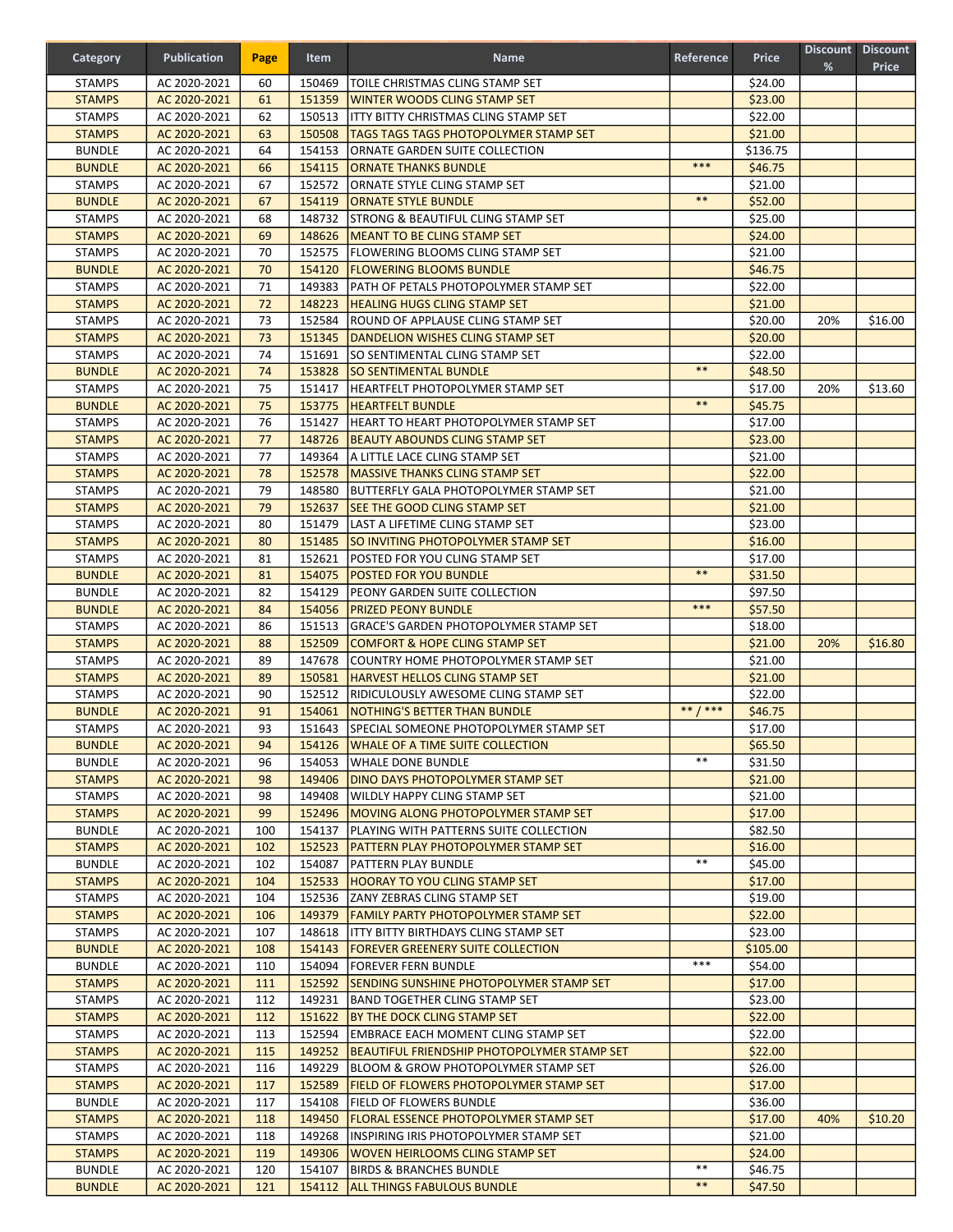| Category                       | <b>Publication</b>           | Page       | Item   | <b>Name</b>                                                                       | Reference   | <b>Price</b>        | %   | Discount Discount<br><b>Price</b> |
|--------------------------------|------------------------------|------------|--------|-----------------------------------------------------------------------------------|-------------|---------------------|-----|-----------------------------------|
| <b>STAMPS</b>                  | AC 2020-2021                 | 60         | 150469 | TOILE CHRISTMAS CLING STAMP SET                                                   |             | \$24.00             |     |                                   |
| <b>STAMPS</b>                  | AC 2020-2021                 | 61         | 151359 | <b>WINTER WOODS CLING STAMP SET</b>                                               |             | \$23.00             |     |                                   |
| <b>STAMPS</b>                  | AC 2020-2021                 | 62         | 150513 | <b>ITTY BITTY CHRISTMAS CLING STAMP SET</b>                                       |             | \$22.00             |     |                                   |
| <b>STAMPS</b>                  | AC 2020-2021                 | 63         | 150508 | <b>TAGS TAGS TAGS PHOTOPOLYMER STAMP SET</b>                                      |             | \$21.00             |     |                                   |
| <b>BUNDLE</b>                  | AC 2020-2021                 | 64         |        | 154153 ORNATE GARDEN SUITE COLLECTION                                             |             | \$136.75            |     |                                   |
| <b>BUNDLE</b>                  | AC 2020-2021                 | 66         |        | 154115 ORNATE THANKS BUNDLE                                                       | ***         | \$46.75             |     |                                   |
| <b>STAMPS</b>                  | AC 2020-2021                 | 67         | 152572 | ORNATE STYLE CLING STAMP SET                                                      |             | \$21.00             |     |                                   |
| <b>BUNDLE</b>                  | AC 2020-2021                 | 67         | 154119 | <b>ORNATE STYLE BUNDLE</b>                                                        | $**$        | \$52.00             |     |                                   |
| <b>STAMPS</b>                  | AC 2020-2021                 | 68         | 148732 | STRONG & BEAUTIFUL CLING STAMP SET                                                |             | \$25.00             |     |                                   |
| <b>STAMPS</b>                  | AC 2020-2021                 | 69         |        | 148626   MEANT TO BE CLING STAMP SET                                              |             | \$24.00             |     |                                   |
| <b>STAMPS</b>                  | AC 2020-2021                 | 70         |        | 152575   FLOWERING BLOOMS CLING STAMP SET                                         |             | \$21.00             |     |                                   |
| <b>BUNDLE</b>                  | AC 2020-2021                 | 70         |        | 154120   FLOWERING BLOOMS BUNDLE                                                  |             | \$46.75             |     |                                   |
| <b>STAMPS</b>                  | AC 2020-2021                 | 71         |        | 149383   PATH OF PETALS PHOTOPOLYMER STAMP SET                                    |             | \$22.00             |     |                                   |
| <b>STAMPS</b>                  | AC 2020-2021                 | 72         |        | 148223   HEALING HUGS CLING STAMP SET                                             |             | \$21.00             |     |                                   |
| <b>STAMPS</b>                  | AC 2020-2021                 | 73         | 152584 | ROUND OF APPLAUSE CLING STAMP SET                                                 |             | \$20.00             | 20% | \$16.00                           |
| <b>STAMPS</b>                  | AC 2020-2021                 | 73         |        | 151345   DANDELION WISHES CLING STAMP SET                                         |             | \$20.00             |     |                                   |
| <b>STAMPS</b>                  | AC 2020-2021                 | 74         | 151691 | <b>SO SENTIMENTAL CLING STAMP SET</b>                                             | $***$       | \$22.00             |     |                                   |
| <b>BUNDLE</b>                  | AC 2020-2021                 | 74         |        | 153828 ISO SENTIMENTAL BUNDLE                                                     |             | \$48.50             |     |                                   |
| <b>STAMPS</b>                  | AC 2020-2021                 | 75         | 151417 | HEARTFELT PHOTOPOLYMER STAMP SET                                                  | $***$       | \$17.00             | 20% | \$13.60                           |
| <b>BUNDLE</b>                  | AC 2020-2021                 | 75         | 153775 | <b>HEARTFELT BUNDLE</b>                                                           |             | \$45.75             |     |                                   |
| <b>STAMPS</b>                  | AC 2020-2021                 | 76         |        | 151427   HEART TO HEART PHOTOPOLYMER STAMP SET                                    |             | \$17.00             |     |                                   |
| <b>STAMPS</b>                  | AC 2020-2021                 | 77<br>77   |        | 148726   BEAUTY ABOUNDS CLING STAMP SET                                           |             | \$23.00<br>\$21.00  |     |                                   |
| <b>STAMPS</b><br><b>STAMPS</b> | AC 2020-2021<br>AC 2020-2021 | 78         |        | 149364   A LITTLE LACE CLING STAMP SET<br>152578   MASSIVE THANKS CLING STAMP SET |             | \$22.00             |     |                                   |
| <b>STAMPS</b>                  | AC 2020-2021                 | 79         | 148580 | BUTTERFLY GALA PHOTOPOLYMER STAMP SET                                             |             | \$21.00             |     |                                   |
| <b>STAMPS</b>                  | AC 2020-2021                 | 79         | 152637 | <b>SEE THE GOOD CLING STAMP SET</b>                                               |             | \$21.00             |     |                                   |
| <b>STAMPS</b>                  | AC 2020-2021                 | 80         | 151479 | LAST A LIFETIME CLING STAMP SET                                                   |             | \$23.00             |     |                                   |
| <b>STAMPS</b>                  | AC 2020-2021                 | 80         |        | 151485   SO INVITING PHOTOPOLYMER STAMP SET                                       |             | \$16.00             |     |                                   |
| <b>STAMPS</b>                  | AC 2020-2021                 | 81         | 152621 | POSTED FOR YOU CLING STAMP SET                                                    |             | \$17.00             |     |                                   |
| <b>BUNDLE</b>                  | AC 2020-2021                 | 81         | 154075 | <b>POSTED FOR YOU BUNDLE</b>                                                      | $***$       | \$31.50             |     |                                   |
| <b>BUNDLE</b>                  | AC 2020-2021                 | 82         | 154129 | <b>PEONY GARDEN SUITE COLLECTION</b>                                              |             | \$97.50             |     |                                   |
| <b>BUNDLE</b>                  | AC 2020-2021                 | 84         |        | 154056 PRIZED PEONY BUNDLE                                                        | $***$       | \$57.50             |     |                                   |
| <b>STAMPS</b>                  | AC 2020-2021                 | 86         |        | 151513 GRACE'S GARDEN PHOTOPOLYMER STAMP SET                                      |             | \$18.00             |     |                                   |
| <b>STAMPS</b>                  | AC 2020-2021                 | 88         | 152509 | COMFORT & HOPE CLING STAMP SET                                                    |             | \$21.00             | 20% | \$16.80                           |
| <b>STAMPS</b>                  | AC 2020-2021                 | 89         | 147678 | COUNTRY HOME PHOTOPOLYMER STAMP SET                                               |             | \$21.00             |     |                                   |
| <b>STAMPS</b>                  | AC 2020-2021                 | 89         | 150581 | <b>HARVEST HELLOS CLING STAMP SET</b>                                             |             | \$21.00             |     |                                   |
| <b>STAMPS</b>                  | AC 2020-2021                 | 90         |        | 152512   RIDICULOUSLY AWESOME CLING STAMP SET                                     |             | \$22.00             |     |                                   |
| <b>BUNDLE</b>                  | AC 2020-2021                 | 91         |        | 154061   NOTHING'S BETTER THAN BUNDLE                                             | $***$ / *** | \$46.75             |     |                                   |
| <b>STAMPS</b>                  | AC 2020-2021                 | 93         |        | 151643 SPECIAL SOMEONE PHOTOPOLYMER STAMP SET                                     |             | \$17.00             |     |                                   |
| <b>BUNDLE</b>                  | AC 2020-2021                 | 94         |        | 154126   WHALE OF A TIME SUITE COLLECTION                                         |             | \$65.50             |     |                                   |
| <b>BUNDLE</b>                  | AC 2020-2021                 | 96         |        | 154053 WHALE DONE BUNDLE                                                          | $***$       | \$31.50             |     |                                   |
| <b>STAMPS</b>                  | AC 2020-2021                 | 98         |        | 149406   DINO DAYS PHOTOPOLYMER STAMP SET                                         |             | \$21.00             |     |                                   |
| <b>STAMPS</b>                  | AC 2020-2021                 | 98         | 149408 | <b>WILDLY HAPPY CLING STAMP SET</b>                                               |             | \$21.00             |     |                                   |
| <b>STAMPS</b>                  | AC 2020-2021                 | 99         |        | 152496 MOVING ALONG PHOTOPOLYMER STAMP SET                                        |             | \$17.00             |     |                                   |
| <b>BUNDLE</b>                  | AC 2020-2021                 | 100        | 154137 | <b>PLAYING WITH PATTERNS SUITE COLLECTION</b>                                     |             | \$82.50             |     |                                   |
| <b>STAMPS</b>                  | AC 2020-2021                 | 102        |        | 152523 PATTERN PLAY PHOTOPOLYMER STAMP SET                                        |             | \$16.00             |     |                                   |
| <b>BUNDLE</b>                  | AC 2020-2021                 | 102        | 154087 | <b>PATTERN PLAY BUNDLE</b>                                                        | $***$       | \$45.00             |     |                                   |
| <b>STAMPS</b>                  | AC 2020-2021                 | 104        | 152533 | <b>HOORAY TO YOU CLING STAMP SET</b>                                              |             | \$17.00             |     |                                   |
| <b>STAMPS</b>                  | AC 2020-2021                 | 104        |        | 152536 ZANY ZEBRAS CLING STAMP SET                                                |             | \$19.00             |     |                                   |
| <b>STAMPS</b>                  | AC 2020-2021                 | 106        |        | 149379   FAMILY PARTY PHOTOPOLYMER STAMP SET                                      |             | \$22.00             |     |                                   |
| <b>STAMPS</b><br><b>BUNDLE</b> | AC 2020-2021<br>AC 2020-2021 | 107        |        | 148618   ITTY BITTY BIRTHDAYS CLING STAMP SET                                     |             | \$23.00<br>\$105.00 |     |                                   |
| <b>BUNDLE</b>                  | AC 2020-2021                 | 108<br>110 | 154094 | 154143   FOREVER GREENERY SUITE COLLECTION<br><b>FOREVER FERN BUNDLE</b>          | ***         | \$54.00             |     |                                   |
| <b>STAMPS</b>                  | AC 2020-2021                 | 111        | 152592 | <b>SENDING SUNSHINE PHOTOPOLYMER STAMP SET</b>                                    |             | \$17.00             |     |                                   |
| <b>STAMPS</b>                  | AC 2020-2021                 | 112        |        | 149231 BAND TOGETHER CLING STAMP SET                                              |             | \$23.00             |     |                                   |
| <b>STAMPS</b>                  | AC 2020-2021                 | 112        |        | 151622 BY THE DOCK CLING STAMP SET                                                |             | \$22.00             |     |                                   |
| <b>STAMPS</b>                  | AC 2020-2021                 | 113        |        | 152594 EMBRACE EACH MOMENT CLING STAMP SET                                        |             | \$22.00             |     |                                   |
| <b>STAMPS</b>                  | AC 2020-2021                 | 115        |        | 149252 BEAUTIFUL FRIENDSHIP PHOTOPOLYMER STAMP SET                                |             | \$22.00             |     |                                   |
| <b>STAMPS</b>                  | AC 2020-2021                 | 116        | 149229 | BLOOM & GROW PHOTOPOLYMER STAMP SET                                               |             | \$26.00             |     |                                   |
| <b>STAMPS</b>                  | AC 2020-2021                 | 117        | 152589 | <b>FIELD OF FLOWERS PHOTOPOLYMER STAMP SET</b>                                    |             | \$17.00             |     |                                   |
| <b>BUNDLE</b>                  | AC 2020-2021                 | 117        |        | 154108   FIELD OF FLOWERS BUNDLE                                                  |             | \$36.00             |     |                                   |
| <b>STAMPS</b>                  | AC 2020-2021                 | 118        |        | 149450   FLORAL ESSENCE PHOTOPOLYMER STAMP SET                                    |             | \$17.00             | 40% | \$10.20                           |
| <b>STAMPS</b>                  | AC 2020-2021                 | 118        |        | 149268 INSPIRING IRIS PHOTOPOLYMER STAMP SET                                      |             | \$21.00             |     |                                   |
| <b>STAMPS</b>                  | AC 2020-2021                 | 119        |        | 149306   WOVEN HEIRLOOMS CLING STAMP SET                                          |             | \$24.00             |     |                                   |
| <b>BUNDLE</b>                  | AC 2020-2021                 | 120        | 154107 | <b>BIRDS &amp; BRANCHES BUNDLE</b>                                                | $***$       | \$46.75             |     |                                   |
| <b>BUNDLE</b>                  | AC 2020-2021                 | 121        |        | 154112   ALL THINGS FABULOUS BUNDLE                                               | $***$       | \$47.50             |     |                                   |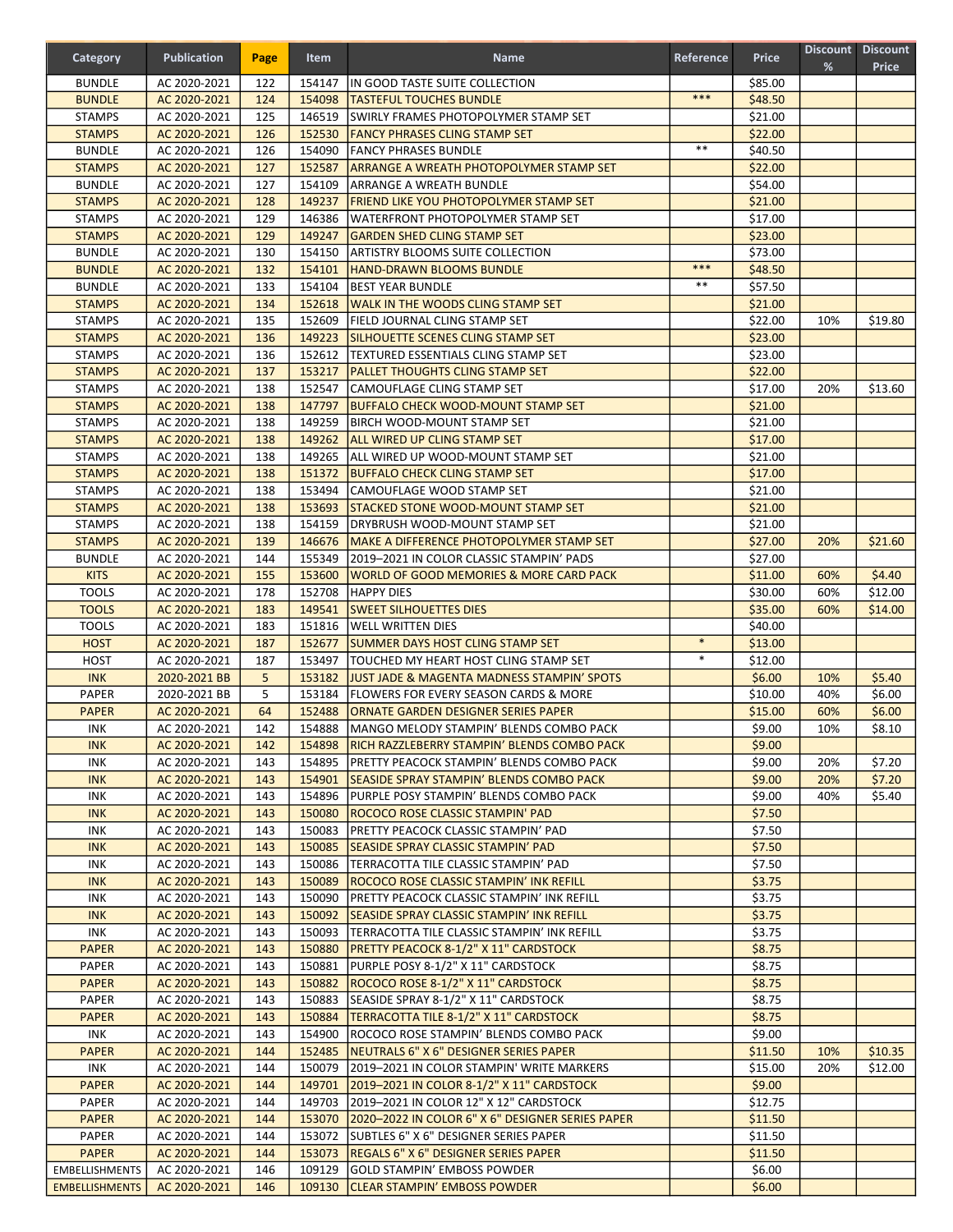| Category                       | <b>Publication</b>           | Page       | Item             | <b>Name</b>                                                                         | Reference | <b>Price</b>       | %   | Discount Discount<br><b>Price</b> |
|--------------------------------|------------------------------|------------|------------------|-------------------------------------------------------------------------------------|-----------|--------------------|-----|-----------------------------------|
| <b>BUNDLE</b>                  | AC 2020-2021                 | 122        | 154147           | IIN GOOD TASTE SUITE COLLECTION                                                     |           | \$85.00            |     |                                   |
| <b>BUNDLE</b>                  | AC 2020-2021                 | 124        | 154098           | <b>TASTEFUL TOUCHES BUNDLE</b>                                                      | ***       | \$48.50            |     |                                   |
| <b>STAMPS</b>                  | AC 2020-2021                 | 125        | 146519           | <b>SWIRLY FRAMES PHOTOPOLYMER STAMP SET</b>                                         |           | \$21.00            |     |                                   |
| <b>STAMPS</b>                  | AC 2020-2021                 | 126        | 152530           | <b>FANCY PHRASES CLING STAMP SET</b>                                                |           | \$22.00            |     |                                   |
| <b>BUNDLE</b>                  | AC 2020-2021                 | 126        | 154090           | <b>FANCY PHRASES BUNDLE</b>                                                         | $***$     | \$40.50            |     |                                   |
| <b>STAMPS</b>                  | AC 2020-2021                 | 127        | 152587           | <b>ARRANGE A WREATH PHOTOPOLYMER STAMP SET</b>                                      |           | \$22.00            |     |                                   |
| <b>BUNDLE</b>                  | AC 2020-2021                 | 127        | 154109           | ARRANGE A WREATH BUNDLE                                                             |           | \$54.00            |     |                                   |
| <b>STAMPS</b>                  | AC 2020-2021                 | 128        | 149237           | FRIEND LIKE YOU PHOTOPOLYMER STAMP SET                                              |           | \$21.00            |     |                                   |
| <b>STAMPS</b>                  | AC 2020-2021                 | 129        | 146386           | WATERFRONT PHOTOPOLYMER STAMP SET                                                   |           | \$17.00            |     |                                   |
| <b>STAMPS</b>                  | AC 2020-2021                 | 129        | 149247           | <b>GARDEN SHED CLING STAMP SET</b>                                                  |           | \$23.00            |     |                                   |
| <b>BUNDLE</b>                  | AC 2020-2021                 | 130        | 154150           | <b>ARTISTRY BLOOMS SUITE COLLECTION</b>                                             |           | \$73.00            |     |                                   |
| <b>BUNDLE</b>                  | AC 2020-2021                 | 132        | 154101           | <b>HAND-DRAWN BLOOMS BUNDLE</b>                                                     | ***       | \$48.50            |     |                                   |
| <b>BUNDLE</b>                  | AC 2020-2021                 | 133        | 154104           | <b>BEST YEAR BUNDLE</b>                                                             | **        | \$57.50            |     |                                   |
| <b>STAMPS</b>                  | AC 2020-2021                 | 134        | 152618           | WALK IN THE WOODS CLING STAMP SET                                                   |           | \$21.00            |     |                                   |
| <b>STAMPS</b>                  | AC 2020-2021                 | 135        | 152609           | FIELD JOURNAL CLING STAMP SET                                                       |           | \$22.00            | 10% | \$19.80                           |
| <b>STAMPS</b>                  | AC 2020-2021                 | 136        | 149223           | <b>SILHOUETTE SCENES CLING STAMP SET</b>                                            |           | \$23.00            |     |                                   |
| <b>STAMPS</b>                  | AC 2020-2021                 | 136        | 152612           | TEXTURED ESSENTIALS CLING STAMP SET                                                 |           | \$23.00            |     |                                   |
| <b>STAMPS</b>                  | AC 2020-2021                 | 137        | 153217           | <b>IPALLET THOUGHTS CLING STAMP SET</b>                                             |           | \$22.00            |     |                                   |
| <b>STAMPS</b>                  | AC 2020-2021                 | 138        | 152547           | CAMOUFLAGE CLING STAMP SET                                                          |           | \$17.00            | 20% | \$13.60                           |
| <b>STAMPS</b>                  | AC 2020-2021                 | 138        | 147797           | <b>BUFFALO CHECK WOOD-MOUNT STAMP SET</b>                                           |           | \$21.00            |     |                                   |
| <b>STAMPS</b>                  | AC 2020-2021                 | 138        | 149259           | <b>IBIRCH WOOD-MOUNT STAMP SET</b>                                                  |           | \$21.00            |     |                                   |
| <b>STAMPS</b>                  | AC 2020-2021                 | 138        | 149262           | <b>ALL WIRED UP CLING STAMP SET</b>                                                 |           | \$17.00            |     |                                   |
| <b>STAMPS</b>                  | AC 2020-2021                 | 138        | 149265           | <b>ALL WIRED UP WOOD-MOUNT STAMP SET</b>                                            |           | \$21.00            |     |                                   |
| <b>STAMPS</b>                  | AC 2020-2021                 | 138        |                  | 151372 BUFFALO CHECK CLING STAMP SET                                                |           | \$17.00            |     |                                   |
| <b>STAMPS</b>                  | AC 2020-2021                 | 138        | 153494           | CAMOUFLAGE WOOD STAMP SET                                                           |           | \$21.00            |     |                                   |
| <b>STAMPS</b>                  | AC 2020-2021                 | 138        | 153693           | <b>STACKED STONE WOOD-MOUNT STAMP SET</b>                                           |           | \$21.00            |     |                                   |
| <b>STAMPS</b>                  | AC 2020-2021                 | 138        | 154159           | <b>DRYBRUSH WOOD-MOUNT STAMP SET</b>                                                |           | \$21.00            |     |                                   |
| <b>STAMPS</b><br><b>BUNDLE</b> | AC 2020-2021                 | 139<br>144 | 146676<br>155349 | MAKE A DIFFERENCE PHOTOPOLYMER STAMP SET                                            |           | \$27.00            | 20% | \$21.60                           |
| <b>KITS</b>                    | AC 2020-2021<br>AC 2020-2021 | 155        | 153600           | 2019-2021 IN COLOR CLASSIC STAMPIN' PADS<br>WORLD OF GOOD MEMORIES & MORE CARD PACK |           | \$27.00<br>\$11.00 | 60% | \$4.40                            |
| <b>TOOLS</b>                   | AC 2020-2021                 | 178        | 152708           | <b>HAPPY DIES</b>                                                                   |           | \$30.00            | 60% | \$12.00                           |
| <b>TOOLS</b>                   | AC 2020-2021                 | 183        | 149541           | <b>SWEET SILHOUETTES DIES</b>                                                       |           | \$35.00            | 60% | \$14.00                           |
| <b>TOOLS</b>                   | AC 2020-2021                 | 183        | 151816           | <b>WELL WRITTEN DIES</b>                                                            |           | \$40.00            |     |                                   |
| <b>HOST</b>                    | AC 2020-2021                 | 187        | 152677           | <b>SUMMER DAYS HOST CLING STAMP SET</b>                                             | $\ast$    | \$13.00            |     |                                   |
| HOST                           | AC 2020-2021                 | 187        | 153497           | TOUCHED MY HEART HOST CLING STAMP SET                                               | $\ast$    | \$12.00            |     |                                   |
| <b>INK</b>                     | 2020-2021 BB                 | 5          | 153182           | <b>JJUST JADE &amp; MAGENTA MADNESS STAMPIN' SPOTS</b>                              |           | \$6.00             | 10% | \$5.40                            |
| <b>PAPER</b>                   | 2020-2021 BB                 | 5          | 153184           | <b>FLOWERS FOR EVERY SEASON CARDS &amp; MORE</b>                                    |           | \$10.00            | 40% | \$6.00                            |
| <b>PAPER</b>                   | AC 2020-2021                 | 64         | 152488           | IORNATE GARDEN DESIGNER SERIES PAPER                                                |           | \$15.00            | 60% | \$6.00                            |
| INK                            | AC 2020-2021                 | 142        | 154888           | MANGO MELODY STAMPIN' BLENDS COMBO PACK                                             |           | \$9.00             | 10% | \$8.10                            |
| <b>INK</b>                     | AC 2020-2021                 | 142        |                  | 154898   RICH RAZZLEBERRY STAMPIN' BLENDS COMBO PACK                                |           | \$9.00             |     |                                   |
| INK                            | AC 2020-2021                 | 143        | 154895           | <b>PRETTY PEACOCK STAMPIN' BLENDS COMBO PACK</b>                                    |           | \$9.00             | 20% | \$7.20                            |
| <b>INK</b>                     | AC 2020-2021                 | 143        | 154901           | <b>SEASIDE SPRAY STAMPIN' BLENDS COMBO PACK</b>                                     |           | \$9.00             | 20% | \$7.20                            |
| <b>INK</b>                     | AC 2020-2021                 | 143        | 154896           | PURPLE POSY STAMPIN' BLENDS COMBO PACK                                              |           | \$9.00             | 40% | \$5.40                            |
| <b>INK</b>                     | AC 2020-2021                 | 143        | 150080           | ROCOCO ROSE CLASSIC STAMPIN' PAD                                                    |           | \$7.50             |     |                                   |
| INK                            | AC 2020-2021                 | 143        | 150083           | PRETTY PEACOCK CLASSIC STAMPIN' PAD                                                 |           | \$7.50             |     |                                   |
| <b>INK</b>                     | AC 2020-2021                 | 143        |                  | 150085 SEASIDE SPRAY CLASSIC STAMPIN' PAD                                           |           | \$7.50             |     |                                   |
| <b>INK</b>                     | AC 2020-2021                 | 143        | 150086           | TERRACOTTA TILE CLASSIC STAMPIN' PAD                                                |           | \$7.50             |     |                                   |
| <b>INK</b>                     | AC 2020-2021                 | 143        | 150089           | ROCOCO ROSE CLASSIC STAMPIN' INK REFILL                                             |           | \$3.75             |     |                                   |
| <b>INK</b>                     | AC 2020-2021                 | 143        | 150090           | <b>PRETTY PEACOCK CLASSIC STAMPIN' INK REFILL</b>                                   |           | \$3.75             |     |                                   |
| <b>INK</b>                     | AC 2020-2021                 | 143        | 150092           | <b>SEASIDE SPRAY CLASSIC STAMPIN' INK REFILL</b>                                    |           | \$3.75             |     |                                   |
| <b>INK</b>                     | AC 2020-2021                 | 143        |                  | 150093   TERRACOTTA TILE CLASSIC STAMPIN' INK REFILL                                |           | \$3.75             |     |                                   |
| <b>PAPER</b>                   | AC 2020-2021                 | 143        | 150880           | <b>PRETTY PEACOCK 8-1/2" X 11" CARDSTOCK</b>                                        |           | \$8.75             |     |                                   |
| <b>PAPER</b>                   | AC 2020-2021                 | 143        | 150881           | PURPLE POSY 8-1/2" X 11" CARDSTOCK                                                  |           | \$8.75             |     |                                   |
| <b>PAPER</b>                   | AC 2020-2021                 | 143        | 150882           | ROCOCO ROSE 8-1/2" X 11" CARDSTOCK                                                  |           | \$8.75             |     |                                   |
| <b>PAPER</b>                   | AC 2020-2021                 | 143        | 150883           | SEASIDE SPRAY 8-1/2" X 11" CARDSTOCK                                                |           | \$8.75             |     |                                   |
| <b>PAPER</b>                   | AC 2020-2021                 | 143        | 150884           | TERRACOTTA TILE 8-1/2" X 11" CARDSTOCK                                              |           | \$8.75             |     |                                   |
| INK                            | AC 2020-2021                 | 143        | 154900           | ROCOCO ROSE STAMPIN' BLENDS COMBO PACK                                              |           | \$9.00             |     |                                   |
| <b>PAPER</b>                   | AC 2020-2021                 | 144        | 152485           | NEUTRALS 6" X 6" DESIGNER SERIES PAPER                                              |           | \$11.50            | 10% | \$10.35                           |
| INK                            | AC 2020-2021                 | 144        | 150079           | 2019-2021 IN COLOR STAMPIN' WRITE MARKERS                                           |           | \$15.00            | 20% | \$12.00                           |
| <b>PAPER</b><br><b>PAPER</b>   | AC 2020-2021                 | 144<br>144 | 149701<br>149703 | 2019-2021 IN COLOR 8-1/2" X 11" CARDSTOCK<br>2019-2021 IN COLOR 12" X 12" CARDSTOCK |           | \$9.00<br>\$12.75  |     |                                   |
| <b>PAPER</b>                   | AC 2020-2021<br>AC 2020-2021 | 144        |                  | 153070 2020-2022 IN COLOR 6" X 6" DESIGNER SERIES PAPER                             |           | \$11.50            |     |                                   |
| PAPER                          | AC 2020-2021                 | 144        |                  | 153072 SUBTLES 6" X 6" DESIGNER SERIES PAPER                                        |           | \$11.50            |     |                                   |
| <b>PAPER</b>                   | AC 2020-2021                 | 144        |                  | 153073  REGALS 6" X 6" DESIGNER SERIES PAPER                                        |           | \$11.50            |     |                                   |
| <b>EMBELLISHMENTS</b>          | AC 2020-2021                 | 146        | 109129           | GOLD STAMPIN' EMBOSS POWDER                                                         |           | \$6.00             |     |                                   |
| <b>EMBELLISHMENTS</b>          | AC 2020-2021                 | 146        |                  | 109130 CLEAR STAMPIN' EMBOSS POWDER                                                 |           | \$6.00             |     |                                   |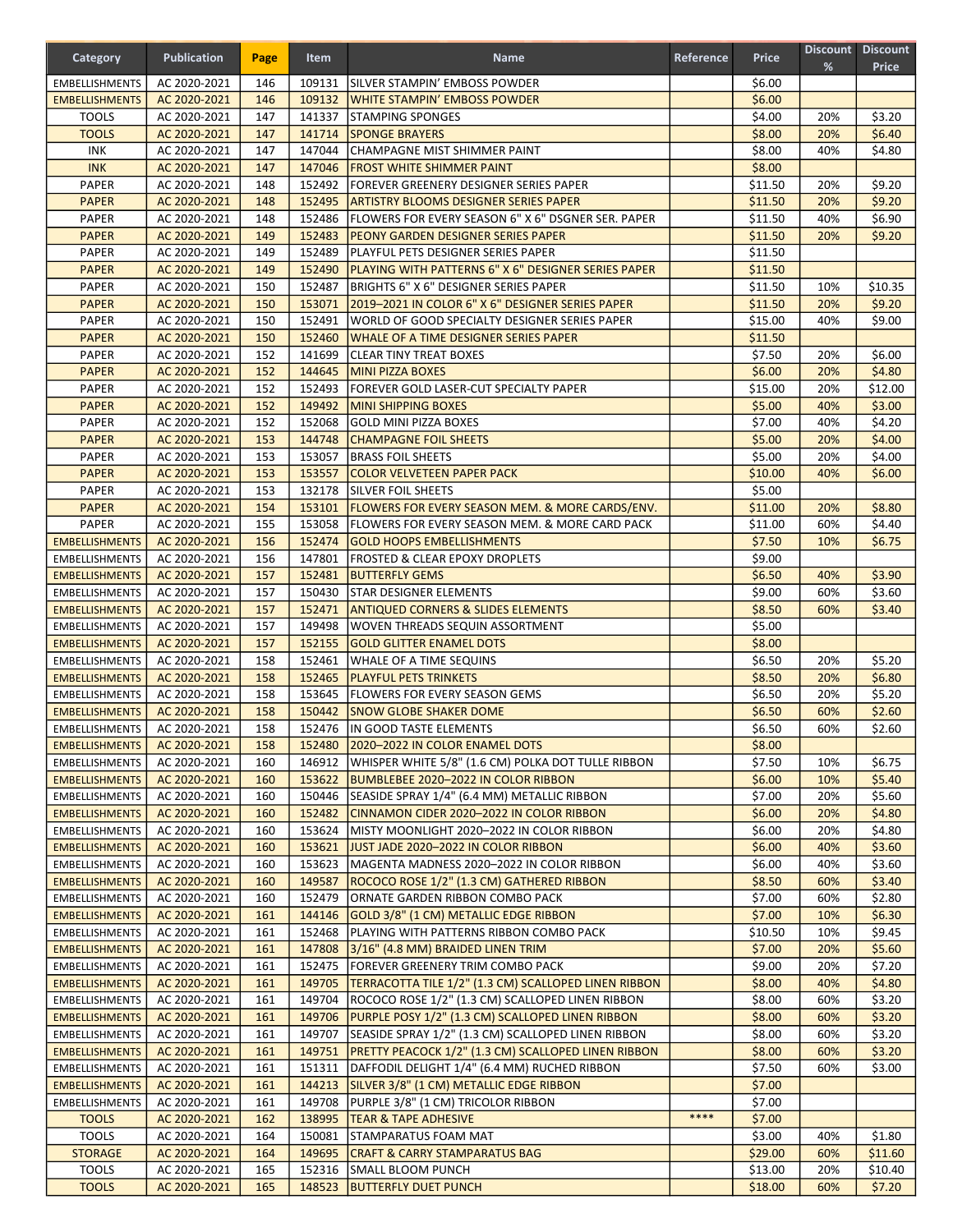| Category                                       | <b>Publication</b>           | Page       | Item             | <b>Name</b>                                                                                            | Reference | <b>Price</b>       | %          | Discount Discount<br><b>Price</b> |
|------------------------------------------------|------------------------------|------------|------------------|--------------------------------------------------------------------------------------------------------|-----------|--------------------|------------|-----------------------------------|
| <b>EMBELLISHMENTS</b>                          | AC 2020-2021                 | 146        | 109131           | ISILVER STAMPIN' EMBOSS POWDER                                                                         |           | \$6.00             |            |                                   |
| <b>EMBELLISHMENTS</b>                          | AC 2020-2021                 | 146        | 109132           | WHITE STAMPIN' EMBOSS POWDER                                                                           |           | \$6.00             |            |                                   |
| <b>TOOLS</b>                                   | AC 2020-2021                 | 147        | 141337           | <b>STAMPING SPONGES</b>                                                                                |           | \$4.00             | 20%        | \$3.20                            |
| <b>TOOLS</b>                                   | AC 2020-2021                 | 147        | 141714           | <b>SPONGE BRAYERS</b>                                                                                  |           | \$8.00             | 20%        | \$6.40                            |
| INK                                            | AC 2020-2021                 | 147        | 147044           | CHAMPAGNE MIST SHIMMER PAINT                                                                           |           | \$8.00             | 40%        | \$4.80                            |
| <b>INK</b>                                     | AC 2020-2021                 | 147        | 147046           | <b>FROST WHITE SHIMMER PAINT</b>                                                                       |           | \$8.00             |            |                                   |
| <b>PAPER</b><br><b>PAPER</b>                   | AC 2020-2021                 | 148<br>148 | 152492<br>152495 | FOREVER GREENERY DESIGNER SERIES PAPER<br><b>ARTISTRY BLOOMS DESIGNER SERIES PAPER</b>                 |           | \$11.50<br>\$11.50 | 20%<br>20% | \$9.20<br>\$9.20                  |
| <b>PAPER</b>                                   | AC 2020-2021<br>AC 2020-2021 | 148        | 152486           | FLOWERS FOR EVERY SEASON 6" X 6" DSGNER SER. PAPER                                                     |           | \$11.50            | 40%        | \$6.90                            |
| <b>PAPER</b>                                   | AC 2020-2021                 | 149        | 152483           | PEONY GARDEN DESIGNER SERIES PAPER                                                                     |           | \$11.50            | 20%        | \$9.20                            |
| <b>PAPER</b>                                   | AC 2020-2021                 | 149        | 152489           | PLAYFUL PETS DESIGNER SERIES PAPER                                                                     |           | \$11.50            |            |                                   |
| <b>PAPER</b>                                   | AC 2020-2021                 | 149        | 152490           | PLAYING WITH PATTERNS 6" X 6" DESIGNER SERIES PAPER                                                    |           | \$11.50            |            |                                   |
| <b>PAPER</b>                                   | AC 2020-2021                 | 150        | 152487           | BRIGHTS 6" X 6" DESIGNER SERIES PAPER                                                                  |           | \$11.50            | 10%        | \$10.35                           |
| <b>PAPER</b>                                   | AC 2020-2021                 | 150        | 153071           | 2019-2021 IN COLOR 6" X 6" DESIGNER SERIES PAPER                                                       |           | \$11.50            | 20%        | \$9.20                            |
| <b>PAPER</b>                                   | AC 2020-2021                 | 150        | 152491           | WORLD OF GOOD SPECIALTY DESIGNER SERIES PAPER                                                          |           | \$15.00            | 40%        | \$9.00                            |
| <b>PAPER</b>                                   | AC 2020-2021                 | 150        | 152460           | WHALE OF A TIME DESIGNER SERIES PAPER                                                                  |           | \$11.50            |            |                                   |
| PAPER                                          | AC 2020-2021                 | 152        | 141699           | <b>CLEAR TINY TREAT BOXES</b>                                                                          |           | \$7.50             | 20%        | \$6.00                            |
| <b>PAPER</b>                                   | AC 2020-2021                 | 152        | 144645           | <b>MINI PIZZA BOXES</b>                                                                                |           | \$6.00             | 20%        | \$4.80                            |
| <b>PAPER</b>                                   | AC 2020-2021                 | 152        | 152493           | FOREVER GOLD LASER-CUT SPECIALTY PAPER                                                                 |           | \$15.00            | 20%        | \$12.00                           |
| <b>PAPER</b>                                   | AC 2020-2021                 | 152        | 149492           | <b>MINI SHIPPING BOXES</b>                                                                             |           | \$5.00             | 40%        | \$3.00                            |
| <b>PAPER</b>                                   | AC 2020-2021                 | 152        | 152068           | lGOLD MINI PIZZA BOXES                                                                                 |           | \$7.00             | 40%        | \$4.20                            |
| <b>PAPER</b>                                   | AC 2020-2021                 | 153        | 144748           | <b>CHAMPAGNE FOIL SHEETS</b>                                                                           |           | \$5.00             | 20%        | \$4.00                            |
| <b>PAPER</b>                                   | AC 2020-2021                 | 153        | 153057           | <b>BRASS FOIL SHEETS</b>                                                                               |           | \$5.00<br>\$10.00  | 20%        | \$4.00                            |
| <b>PAPER</b><br><b>PAPER</b>                   | AC 2020-2021<br>AC 2020-2021 | 153<br>153 | 153557<br>132178 | <b>COLOR VELVETEEN PAPER PACK</b><br>SILVER FOIL SHEETS                                                |           | \$5.00             | 40%        | \$6.00                            |
| <b>PAPER</b>                                   | AC 2020-2021                 | 154        | 153101           | <b>FLOWERS FOR EVERY SEASON MEM. &amp; MORE CARDS/ENV.</b>                                             |           | \$11.00            | 20%        | \$8.80                            |
| <b>PAPER</b>                                   | AC 2020-2021                 | 155        | 153058           | FLOWERS FOR EVERY SEASON MEM. & MORE CARD PACK                                                         |           | \$11.00            | 60%        | \$4.40                            |
| <b>EMBELLISHMENTS</b>                          | AC 2020-2021                 | 156        | 152474           | <b>GOLD HOOPS EMBELLISHMENTS</b>                                                                       |           | \$7.50             | 10%        | \$6.75                            |
| <b>EMBELLISHMENTS</b>                          | AC 2020-2021                 | 156        | 147801           | <b>FROSTED &amp; CLEAR EPOXY DROPLETS</b>                                                              |           | \$9.00             |            |                                   |
| <b>EMBELLISHMENTS</b>                          | AC 2020-2021                 | 157        | 152481           | <b>BUTTERFLY GEMS</b>                                                                                  |           | \$6.50             | 40%        | \$3.90                            |
| <b>EMBELLISHMENTS</b>                          | AC 2020-2021                 | 157        | 150430           | <b>STAR DESIGNER ELEMENTS</b>                                                                          |           | \$9.00             | 60%        | \$3.60                            |
| <b>EMBELLISHMENTS</b>                          | AC 2020-2021                 | 157        | 152471           | <b>ANTIQUED CORNERS &amp; SLIDES ELEMENTS</b>                                                          |           | \$8.50             | 60%        | \$3.40                            |
| <b>EMBELLISHMENTS</b>                          | AC 2020-2021                 | 157        | 149498           | <b>WOVEN THREADS SEQUIN ASSORTMENT</b>                                                                 |           | \$5.00             |            |                                   |
| <b>EMBELLISHMENTS</b>                          | AC 2020-2021                 | 157        | 152155           | <b>GOLD GLITTER ENAMEL DOTS</b>                                                                        |           | \$8.00             |            |                                   |
| <b>EMBELLISHMENTS</b>                          | AC 2020-2021                 | 158        | 152461           | WHALE OF A TIME SEQUINS                                                                                |           | \$6.50             | 20%        | \$5.20                            |
| <b>EMBELLISHMENTS</b>                          | AC 2020-2021                 | 158        | 152465           | <b>PLAYFUL PETS TRINKETS</b>                                                                           |           | \$8.50             | 20%        | \$6.80                            |
| <b>EMBELLISHMENTS</b>                          | AC 2020-2021                 | 158        | 153645           | FLOWERS FOR EVERY SEASON GEMS                                                                          |           | \$6.50             | 20%        | \$5.20                            |
| <b>EMBELLISHMENTS</b>                          | AC 2020-2021                 | 158        | 150442           | <b>SNOW GLOBE SHAKER DOME</b>                                                                          |           | \$6.50             | 60%        | \$2.60                            |
| <b>EMBELLISHMENTS</b>                          | AC 2020-2021                 | 158        | 152476           | IN GOOD TASTE ELEMENTS                                                                                 |           | \$6.50             | 60%        | \$2.60                            |
| <b>EMBELLISHMENTS</b><br><b>EMBELLISHMENTS</b> | AC 2020-2021<br>AC 2020-2021 | 158<br>160 | 152480<br>146912 | 2020-2022 IN COLOR ENAMEL DOTS<br>WHISPER WHITE 5/8" (1.6 CM) POLKA DOT TULLE RIBBON                   |           | \$8.00<br>\$7.50   | 10%        | \$6.75                            |
| <b>EMBELLISHMENTS</b>                          | AC 2020-2021                 | 160        | 153622           | <b>BUMBLEBEE 2020-2022 IN COLOR RIBBON</b>                                                             |           | \$6.00             | 10%        | \$5.40                            |
| <b>EMBELLISHMENTS</b>                          | AC 2020-2021                 | 160        | 150446           | SEASIDE SPRAY 1/4" (6.4 MM) METALLIC RIBBON                                                            |           | \$7.00             | 20%        | \$5.60                            |
| <b>EMBELLISHMENTS</b>                          | AC 2020-2021                 | 160        | 152482           | CINNAMON CIDER 2020-2022 IN COLOR RIBBON                                                               |           | \$6.00             | 20%        | \$4.80                            |
| <b>EMBELLISHMENTS</b>                          | AC 2020-2021                 | 160        | 153624           | MISTY MOONLIGHT 2020-2022 IN COLOR RIBBON                                                              |           | \$6.00             | 20%        | \$4.80                            |
| <b>EMBELLISHMENTS</b>                          | AC 2020-2021                 | 160        | 153621           | JUST JADE 2020–2022 IN COLOR RIBBON                                                                    |           | \$6.00             | 40%        | \$3.60                            |
| <b>EMBELLISHMENTS</b>                          | AC 2020-2021                 | 160        | 153623           | MAGENTA MADNESS 2020-2022 IN COLOR RIBBON                                                              |           | \$6.00             | 40%        | \$3.60                            |
| <b>EMBELLISHMENTS</b>                          | AC 2020-2021                 | 160        | 149587           | ROCOCO ROSE 1/2" (1.3 CM) GATHERED RIBBON                                                              |           | \$8.50             | 60%        | \$3.40                            |
| <b>EMBELLISHMENTS</b>                          | AC 2020-2021                 | 160        | 152479           | ORNATE GARDEN RIBBON COMBO PACK                                                                        |           | \$7.00             | 60%        | \$2.80                            |
| <b>EMBELLISHMENTS</b>                          | AC 2020-2021                 | 161        | 144146           | GOLD 3/8" (1 CM) METALLIC EDGE RIBBON                                                                  |           | \$7.00             | 10%        | \$6.30                            |
| <b>EMBELLISHMENTS</b>                          | AC 2020-2021                 | 161        | 152468           | PLAYING WITH PATTERNS RIBBON COMBO PACK                                                                |           | \$10.50            | 10%        | \$9.45                            |
| <b>EMBELLISHMENTS</b>                          | AC 2020-2021                 | 161        | 147808           | 3/16" (4.8 MM) BRAIDED LINEN TRIM                                                                      |           | \$7.00             | 20%        | \$5.60                            |
| <b>EMBELLISHMENTS</b>                          | AC 2020-2021                 | 161        | 152475           | FOREVER GREENERY TRIM COMBO PACK                                                                       |           | \$9.00             | 20%        | \$7.20                            |
| <b>EMBELLISHMENTS</b>                          | AC 2020-2021                 | 161        | 149705           | TERRACOTTA TILE 1/2" (1.3 CM) SCALLOPED LINEN RIBBON                                                   |           | \$8.00             | 40%        | \$4.80                            |
| <b>EMBELLISHMENTS</b>                          | AC 2020-2021                 | 161        | 149704           | ROCOCO ROSE 1/2" (1.3 CM) SCALLOPED LINEN RIBBON                                                       |           | \$8.00             | 60%        | \$3.20                            |
| <b>EMBELLISHMENTS</b><br><b>EMBELLISHMENTS</b> | AC 2020-2021<br>AC 2020-2021 | 161<br>161 | 149706<br>149707 | PURPLE POSY 1/2" (1.3 CM) SCALLOPED LINEN RIBBON<br>SEASIDE SPRAY 1/2" (1.3 CM) SCALLOPED LINEN RIBBON |           | \$8.00<br>\$8.00   | 60%<br>60% | \$3.20<br>\$3.20                  |
| <b>EMBELLISHMENTS</b>                          | AC 2020-2021                 | 161        | 149751           | PRETTY PEACOCK 1/2" (1.3 CM) SCALLOPED LINEN RIBBON                                                    |           | \$8.00             | 60%        | \$3.20                            |
| <b>EMBELLISHMENTS</b>                          | AC 2020-2021                 | 161        | 151311           | DAFFODIL DELIGHT 1/4" (6.4 MM) RUCHED RIBBON                                                           |           | \$7.50             | 60%        | \$3.00                            |
| <b>EMBELLISHMENTS</b>                          | AC 2020-2021                 | 161        | 144213           | SILVER 3/8" (1 CM) METALLIC EDGE RIBBON                                                                |           | \$7.00             |            |                                   |
| <b>EMBELLISHMENTS</b>                          | AC 2020-2021                 | 161        | 149708           | PURPLE 3/8" (1 CM) TRICOLOR RIBBON                                                                     |           | \$7.00             |            |                                   |
| <b>TOOLS</b>                                   | AC 2020-2021                 | 162        | 138995           | <b>TEAR &amp; TAPE ADHESIVE</b>                                                                        | ****      | \$7.00             |            |                                   |
| <b>TOOLS</b>                                   | AC 2020-2021                 | 164        | 150081           | STAMPARATUS FOAM MAT                                                                                   |           | \$3.00             | 40%        | \$1.80                            |
| <b>STORAGE</b>                                 | AC 2020-2021                 | 164        | 149695           | CRAFT & CARRY STAMPARATUS BAG                                                                          |           | \$29.00            | 60%        | \$11.60                           |
| <b>TOOLS</b>                                   | AC 2020-2021                 | 165        | 152316           | <b>SMALL BLOOM PUNCH</b>                                                                               |           | \$13.00            | 20%        | \$10.40                           |
| <b>TOOLS</b>                                   | AC 2020-2021                 | 165        |                  | 148523 BUTTERFLY DUET PUNCH                                                                            |           | \$18.00            | 60%        | \$7.20                            |